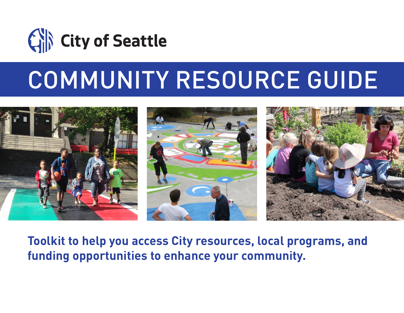

## COMMUNITY RESOURCE GUIDE



**Toolkit to help you access City resources, local programs, and funding opportunities to enhance your community.**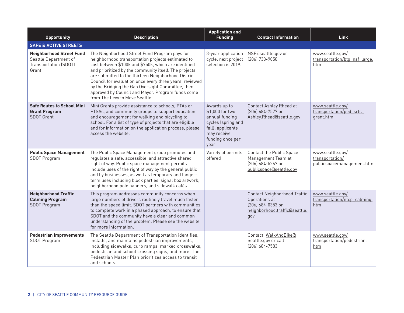| <b>Opportunity</b>                                                                         | <b>Description</b>                                                                                                                                                                                                                                                                                                                                                                                                                                                                | <b>Application and</b><br><b>Funding</b>                                                                                                | <b>Contact Information</b>                                                                                        | Link                                                             |
|--------------------------------------------------------------------------------------------|-----------------------------------------------------------------------------------------------------------------------------------------------------------------------------------------------------------------------------------------------------------------------------------------------------------------------------------------------------------------------------------------------------------------------------------------------------------------------------------|-----------------------------------------------------------------------------------------------------------------------------------------|-------------------------------------------------------------------------------------------------------------------|------------------------------------------------------------------|
| <b>SAFE &amp; ACTIVE STREETS</b>                                                           |                                                                                                                                                                                                                                                                                                                                                                                                                                                                                   |                                                                                                                                         |                                                                                                                   |                                                                  |
| <b>Neighborhood Street Fund</b><br>Seattle Department of<br>Transportation (SDOT)<br>Grant | The Neighborhood Street Fund Program pays for<br>neighborhood transportation projects estimated to<br>cost between \$100k and \$750k, which are identified<br>and prioritized by the community itself. The projects<br>are submitted to the thirteen Neighborhood District<br>Council for evaluation once every three years, reviewed<br>by the Bridging the Gap Oversight Committee, then<br>approved by Council and Mayor. Program funds come<br>from The Levy to Move Seattle. | 3-year application<br>cycle; next project<br>selection is 2019.                                                                         | NSF@seattle.gov or<br>$(206)$ 733-9050                                                                            | www.seattle.gov/<br>transportation/btg nsf large.<br>htm         |
| <b>Safe Routes to School Mini</b><br><b>Grant Program</b><br><b>SDOT Grant</b>             | Mini Grants provide assistance to schools, PTAs or<br>PTSAs, and community groups to support education<br>and encouragement for walking and bicycling to<br>school. For a list of type of projects that are eligible<br>and for information on the application process, please<br>access the website.                                                                                                                                                                             | Awards up to<br>\$1,000 for two<br>annual funding<br>cycles (spring and<br>fall); applicants<br>may receive<br>funding once per<br>year | <b>Contact Ashley Rhead at</b><br>(206) 684-7577 or<br>Ashley.Rhead@seattle.gov                                   | www.seattle.gov/<br>transportation/ped srts<br>grant.htm         |
| <b>Public Space Management</b><br>SDOT Program                                             | The Public Space Management group promotes and<br>regulates a safe, accessible, and attractive shared<br>right of way. Public space management permits<br>include uses of the right of way by the general public<br>and by businesses, as well as temporary and longer-<br>term uses including block parties, signal box artwork,<br>neighborhood pole banners, and sidewalk cafés.                                                                                               | Variety of permits<br>offered                                                                                                           | <b>Contact the Public Space</b><br>Management Team at<br>(206) 684-5267 or<br>publicspace@seattle.gov             | www.seattle.gov/<br>transportation/<br>publicspacemanagement.htm |
| <b>Neighborhood Traffic</b><br><b>Calming Program</b><br><b>SDOT Program</b>               | This program addresses community concerns when<br>large numbers of drivers routinely travel much faster<br>than the speed limit. SDOT partners with communities<br>to complete work in a phased approach, to ensure that<br>SDOT and the community have a clear and common<br>understanding of the problem. Please see the website<br>for more information.                                                                                                                       |                                                                                                                                         | <b>Contact Neighborhood Traffic</b><br>Operations at<br>[206] 684-0353 or<br>neighborhood.traffic@seattle.<br>gov | www.seattle.gov/<br>transportation/ntcp calming.<br>htm          |
| <b>Pedestrian Improvements</b><br>SDOT Program                                             | The Seattle Department of Transportation identifies,<br>installs, and maintains pedestrian improvements,<br>including sidewalks, curb ramps, marked crosswalks,<br>pedestrian and school crossing signs, and more. The<br>Pedestrian Master Plan prioritizes access to transit<br>and schools.                                                                                                                                                                                    |                                                                                                                                         | Contact: WalkAndBike@<br>Seattle.gov or call<br>$(206)$ 684-7583                                                  | www.seattle.gov/<br>transportation/pedestrian.<br>htm            |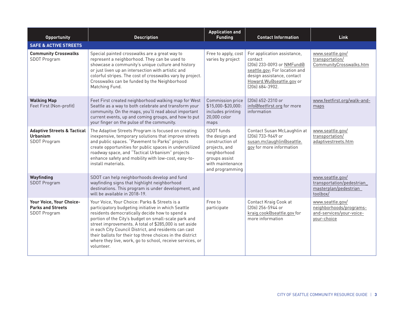| <b>Opportunity</b>                                                               | <b>Description</b>                                                                                                                                                                                                                                                                                                                                                                                                                                                        | <b>Application and</b><br><b>Funding</b>                                                                                                 | <b>Contact Information</b>                                                                                                                                                          | Link                                                                                   |
|----------------------------------------------------------------------------------|---------------------------------------------------------------------------------------------------------------------------------------------------------------------------------------------------------------------------------------------------------------------------------------------------------------------------------------------------------------------------------------------------------------------------------------------------------------------------|------------------------------------------------------------------------------------------------------------------------------------------|-------------------------------------------------------------------------------------------------------------------------------------------------------------------------------------|----------------------------------------------------------------------------------------|
| <b>SAFE &amp; ACTIVE STREETS</b>                                                 |                                                                                                                                                                                                                                                                                                                                                                                                                                                                           |                                                                                                                                          |                                                                                                                                                                                     |                                                                                        |
| <b>Community Crosswalks</b><br><b>SDOT Program</b>                               | Special painted crosswalks are a great way to<br>represent a neighborhood. They can be used to<br>showcase a community's unique culture and history<br>or just liven up an intersection with artistic and<br>colorful stripes. The cost of crosswalks vary by project.<br>Crosswalks can be funded by the Neighborhood<br>Matching Fund.                                                                                                                                  | Free to apply, cost<br>varies by project                                                                                                 | For application assistance,<br>contact<br>(206) 233-0093 or NMFund@<br>seattle.gov; For location and<br>design assistance, contact<br>Howard. Wurdseattle.gov or<br>(206) 684-3902. | www.seattle.gov/<br>transportation/<br>CommunityCrosswalks.htm                         |
| <b>Walking Map</b><br>Feet First (Non-profit)                                    | Feet First created neighborhood walking map for West<br>Seattle as a way to both celebrate and transform your<br>community. On the maps, you'll read about important<br>current events, up and coming groups, and how to put<br>your finger on the pulse of the community.                                                                                                                                                                                                | Commission price<br>\$15,000-\$20,000:<br>includes printing<br>20,000 color<br>maps                                                      | (206) 652-2310 or<br>info@feetfirst.org for more<br>information                                                                                                                     | www.feetfirst.org/walk-and-<br>maps                                                    |
| <b>Adaptive Streets &amp; Tactical</b><br><b>Urbanism</b><br><b>SDOT Program</b> | The Adaptive Streets Program is focused on creating<br>inexpensive, temporary solutions that improve streets<br>and public spaces. "Pavement to Parks" projects<br>create opportunities for public spaces in underutilized<br>roadway space, and "Tactical Urbanism" projects<br>enhance safety and mobility with low-cost, easy-to-<br>install materials.                                                                                                                | SDOT funds<br>the design and<br>construction of<br>projects, and<br>neighborhood<br>groups assist<br>with maintenance<br>and programming | Contact Susan McLaughlin at<br>[206] 733-9649 or<br>susan.mclaughlin@seattle.<br>gov for more information                                                                           | www.seattle.gov/<br>transportation/<br>adaptivestreets.htm                             |
| Wayfinding<br><b>SDOT Program</b>                                                | SDOT can help neighborhoods develop and fund<br>wayfinding signs that highlight neighborhood<br>destinations. This program is under development, and<br>will be available in 2018-19.                                                                                                                                                                                                                                                                                     |                                                                                                                                          |                                                                                                                                                                                     | www.seattle.gov/<br>transportation/pedestrian<br>masterplan/pedestrian<br>toolbox/     |
| Your Voice, Your Choice-<br><b>Parks and Streets</b><br>SDOT Program             | Your Voice, Your Choice: Parks & Streets is a<br>participatory budgeting initiative in which Seattle<br>residents democratically decide how to spend a<br>portion of the City's budget on small-scale park and<br>street improvements. A total of \$285,000 is set aside<br>in each City Council District, and residents can cast<br>their ballots for their top three choices in the district<br>where they live, work, go to school, receive services, or<br>volunteer. | Free to<br>participate                                                                                                                   | Contact Kraig Cook at<br>(206) 256-5944 or<br>kraig.cook@seattle.gov for<br>more information                                                                                        | www.seattle.gov/<br>neighborhoods/programs-<br>and-services/your-voice-<br>your-choice |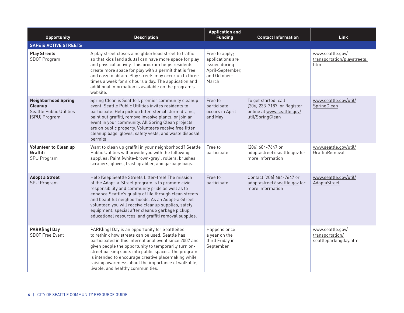| <b>Opportunity</b>                                                                               | <b>Description</b>                                                                                                                                                                                                                                                                                                                                                                                                                               | <b>Application and</b><br><b>Funding</b>                                                         | <b>Contact Information</b>                                                                            | Link                                                         |
|--------------------------------------------------------------------------------------------------|--------------------------------------------------------------------------------------------------------------------------------------------------------------------------------------------------------------------------------------------------------------------------------------------------------------------------------------------------------------------------------------------------------------------------------------------------|--------------------------------------------------------------------------------------------------|-------------------------------------------------------------------------------------------------------|--------------------------------------------------------------|
| <b>SAFE &amp; ACTIVE STREETS</b>                                                                 |                                                                                                                                                                                                                                                                                                                                                                                                                                                  |                                                                                                  |                                                                                                       |                                                              |
| <b>Play Streets</b><br>SDOT Program                                                              | A play street closes a neighborhood street to traffic<br>so that kids (and adults) can have more space for play<br>and physical activity. This program helps residents<br>create more space for play with a permit that is free<br>and easy to obtain. Play streets may occur up to three<br>times a week for six hours a day. The application and<br>additional information is available on the program's<br>website.                           | Free to apply;<br>applications are<br>issued during<br>April-September,<br>and October-<br>March |                                                                                                       | www.seattle.gov/<br>transportation/playstreets.<br>htm       |
| <b>Neighborhood Spring</b><br><b>Cleanup</b><br><b>Seattle Public Utilities</b><br>(SPU) Program | Spring Clean is Seattle's premier community cleanup<br>event. Seattle Public Utilities invites residents to<br>participate. Help pick up litter, stencil storm drains,<br>paint out graffiti, remove invasive plants, or join an<br>event in your community. All Spring Clean projects<br>are on public property. Volunteers receive free litter<br>cleanup bags, gloves, safety vests, and waste disposal<br>permits.                           | Free to<br>participate;<br>occurs in April<br>and May                                            | To get started, call<br>(206) 233-7187, or Register<br>online at www.seattle.gov/<br>util/SpringClean | www.seattle.gov/util/<br>SpringClean                         |
| <b>Volunteer to Clean up</b><br>Graffiti<br><b>SPU Program</b>                                   | Want to clean up graffiti in your neighborhood? Seattle<br>Public Utilities will provide you with the following<br>supplies: Paint (white-brown-gray), rollers, brushes,<br>scrapers, gloves, trash grabber, and garbage bags.                                                                                                                                                                                                                   | Free to<br>participate                                                                           | (206) 684-7647 or<br>adoptastreet@seattle.gov for<br>more information                                 | www.seattle.gov/util/<br>GraffitiRemoval                     |
| <b>Adopt a Street</b><br><b>SPU Program</b>                                                      | Help Keep Seattle Streets Litter-free! The mission<br>of the Adopt-a-Street program is to promote civic<br>responsibility and community pride as well as to<br>enhance Seattle's quality of life through clean streets<br>and beautiful neighborhoods. As an Adopt-a-Street<br>volunteer, you will receive cleanup supplies, safety<br>equipment, special after cleanup garbage pickup,<br>educational resources, and graffiti removal supplies. | Free to<br>participate                                                                           | Contact (206) 684-7647 or<br>adoptastreet@seattle.gov for<br>more information                         | www.seattle.gov/util/<br>AdoptaStreet                        |
| <b>PARK(ing) Day</b><br><b>SDOT Free Event</b>                                                   | PARK(ing) Day is an opportunity for Seattleites<br>to rethink how streets can be used. Seattle has<br>participated in this international event since 2007 and<br>given people the opportunity to temporarily turn on-<br>street parking spots into public spaces. The program<br>is intended to encourage creative placemaking while<br>raising awareness about the importance of walkable,<br>livable, and healthy communities.                 | Happens once<br>a year on the<br>third Friday in<br>September                                    |                                                                                                       | www.seattle.gov/<br>transportation/<br>seattleparkingday.htm |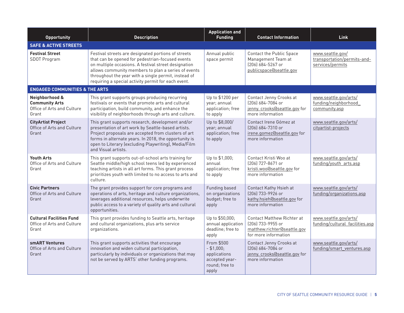| <b>Opportunity</b>                                                             | <b>Description</b>                                                                                                                                                                                                                                                                                                                    | <b>Application and</b><br><b>Funding</b>                                                | <b>Contact Information</b>                                                                             | Link                                                                |
|--------------------------------------------------------------------------------|---------------------------------------------------------------------------------------------------------------------------------------------------------------------------------------------------------------------------------------------------------------------------------------------------------------------------------------|-----------------------------------------------------------------------------------------|--------------------------------------------------------------------------------------------------------|---------------------------------------------------------------------|
| <b>SAFE &amp; ACTIVE STREETS</b>                                               |                                                                                                                                                                                                                                                                                                                                       |                                                                                         |                                                                                                        |                                                                     |
| <b>Festival Street</b><br><b>SDOT Program</b>                                  | Festival streets are designated portions of streets<br>that can be opened for pedestrian-focused events<br>on multiple occasions. A festival street designation<br>allows community members to plan a series of events<br>throughout the year with a single permit, instead of<br>requiring a special activity permit for each event. | Annual public<br>space permit                                                           | <b>Contact the Public Space</b><br>Management Team at<br>[206] 684-5267 or<br>publicspace@seattle.gov  | www.seattle.gov/<br>transportation/permits-and-<br>services/permits |
| <b>ENGAGED COMMUNITIES &amp; THE ARTS</b>                                      |                                                                                                                                                                                                                                                                                                                                       |                                                                                         |                                                                                                        |                                                                     |
| Neighborhood &<br><b>Community Arts</b><br>Office of Arts and Culture<br>Grant | This grant supports groups producing recurring<br>festivals or events that promote arts and cultural<br>participation, build community, and enhance the<br>visibility of neighborhoods through arts and culture.                                                                                                                      | Up to \$1200 per<br>year; annual<br>application; free<br>to apply                       | Contact Jenny Crooks at<br>(206) 684-7084 or<br>jenny. crooks@seattle.gov for<br>more information      | www.seattle.gov/arts/<br>funding/neighborhood<br>community.asp      |
| <b>CityArtist Project</b><br>Office of Arts and Culture<br>Grant               | This grant supports research, development and/or<br>presentation of art work by Seattle-based artists.<br>Project proposals are accepted from clusters of art<br>forms in alternate years. In 2018, the opportunity is<br>open to Literary (excluding Playwriting), Media/Film<br>and Visual artists.                                 | Up to \$8,000/<br>year; annual<br>application; free<br>to apply                         | Contact Irene Gómez at<br>$[206]$ 684-7310 or<br>irene.gomez@seattle.gov for<br>more information       | www.seattle.gov/arts/<br>cityartist-projects                        |
| <b>Youth Arts</b><br>Office of Arts and Culture<br>Grant                       | This grant supports out-of-school arts training for<br>Seattle middle/high school teens led by experienced<br>teaching artists in all art forms. This grant process<br>prioritizes youth with limited to no access to arts and<br>culture.                                                                                            | Up to \$1,000;<br>annual<br>application; free<br>to apply                               | Contact Kristi Woo at<br>(206) 727-8671 or<br>kristi.woo@seattle.gov for<br>more information           | www.seattle.gov/arts/<br>funding/youth arts.asp                     |
| <b>Civic Partners</b><br>Office of Arts and Culture<br>Grant                   | The grant provides support for core programs and<br>operations of arts, heritage and culture organizations,<br>leverages additional resources, helps underwrite<br>public access to a variety of quality arts and cultural<br>opportunities.                                                                                          | Funding based<br>on organizations<br>budget; free to<br>apply                           | Contact Kathy Hsieh at<br>[206] 733-9926 or<br>kathy.hsieh@seattle.gov for<br>more information         | www.seattle.gov/arts/<br>funding/organizations.asp                  |
| <b>Cultural Facilities Fund</b><br>Office of Arts and Culture<br>Grant         | This grant provides funding to Seattle arts, heritage<br>and cultural organizations, plus arts service<br>organizations.                                                                                                                                                                                                              | Up to \$50,000;<br>annual application<br>deadline; free to<br>apply                     | Contact Matthew Richter at<br>(206) 733-9955 or<br>matthew.richter@seattle.gov<br>for more information | www.seattle.gov/arts/<br>funding/cultural facilities.asp            |
| smART Ventures<br>Office of Arts and Culture<br>Grant                          | This grant supports activities that encourage<br>innovation and widen cultural participation,<br>particularly by individuals or organizations that may<br>not be served by ARTS' other funding programs.                                                                                                                              | From \$500<br>$-$ \$1,000;<br>applications<br>accepted year-<br>round; free to<br>apply | Contact Jenny Crooks at<br>(206) 684-7084 or<br>jenny. crooks@seattle.gov for<br>more information      | www.seattle.gov/arts/<br>funding/smart ventures.asp                 |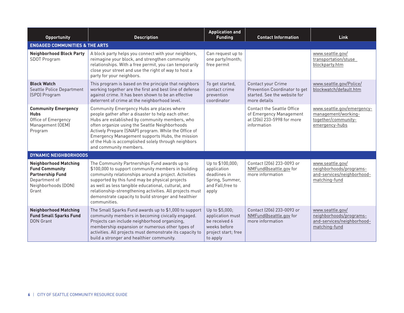| <b>Opportunity</b>                                                                                                                | <b>Description</b>                                                                                                                                                                                                                                                                                                                                                                                       | <b>Application and</b><br><b>Funding</b>                                                               | <b>Contact Information</b>                                                                                | Link                                                                                       |
|-----------------------------------------------------------------------------------------------------------------------------------|----------------------------------------------------------------------------------------------------------------------------------------------------------------------------------------------------------------------------------------------------------------------------------------------------------------------------------------------------------------------------------------------------------|--------------------------------------------------------------------------------------------------------|-----------------------------------------------------------------------------------------------------------|--------------------------------------------------------------------------------------------|
| <b>ENGAGED COMMUNITIES &amp; THE ARTS</b>                                                                                         |                                                                                                                                                                                                                                                                                                                                                                                                          |                                                                                                        |                                                                                                           |                                                                                            |
| <b>Neighborhood Block Party</b><br>SDOT Program                                                                                   | A block party helps you connect with your neighbors,<br>reimagine your block, and strengthen community<br>relationships. With a free permit, you can temporarily<br>close your street and use the right of way to host a<br>party for your neighbors.                                                                                                                                                    | Can request up to<br>one party/month;<br>free permit                                                   |                                                                                                           | www.seattle.gov/<br>transportation/stuse<br>blockparty.htm                                 |
| <b>Block Watch</b><br>Seattle Police Department<br>(SPD) Program                                                                  | This program is based on the principle that neighbors<br>working together are the first and best line of defense<br>against crime. It has been shown to be an effective<br>deterrent of crime at the neighborhood level.                                                                                                                                                                                 | To get started,<br>contact crime<br>prevention<br>coordinator                                          | Contact your Crime<br>Prevention Coordinator to get<br>started. See the website for<br>more details       | www.seattle.gov/Police/<br>blockwatch/default.htm                                          |
| <b>Community Emergency</b><br><b>Hubs</b><br>Office of Emergency<br>Management (OEM)<br>Program                                   | Community Emergency Hubs are places where<br>people gather after a disaster to help each other.<br>Hubs are established by community members, who<br>often organize using the Seattle Neighborhoods<br>Actively Prepare (SNAP) program. While the Office of<br>Emergency Management supports Hubs, the mission<br>of the Hub is accomplished solely through neighbors<br>and community members.          |                                                                                                        | <b>Contact the Seattle Office</b><br>of Emergency Management<br>at (206) 233-5998 for more<br>information | www.seattle.gov/emergency-<br>management/working-<br>together/community-<br>emergency-hubs |
| <b>DYNAMIC NEIGHBORHOODS</b>                                                                                                      |                                                                                                                                                                                                                                                                                                                                                                                                          |                                                                                                        |                                                                                                           |                                                                                            |
| <b>Neighborhood Matching</b><br><b>Fund Community</b><br><b>Partnership Fund</b><br>Department of<br>Neighborhoods (DON)<br>Grant | The Community Partnerships Fund awards up to<br>\$100,000 to support community members in building<br>community relationships around a project. Activities<br>supported by this fund may be physical projects<br>as well as less tangible educational, cultural, and<br>relationship-strengthening activities. All projects must<br>demonstrate capacity to build stronger and healthier<br>communities. | Up to \$100,000;<br>application<br>deadlines in<br>Spring, Summer,<br>and Fall: free to<br>apply       | Contact (206) 233-0093 or<br>NMFund@seattle.gov for<br>more information                                   | www.seattle.gov/<br>neighborhoods/programs-<br>and-services/neighborhood-<br>matching-fund |
| <b>Neighborhood Matching</b><br><b>Fund Small Sparks Fund</b><br><b>DON Grant</b>                                                 | The Small Sparks Fund awards up to \$1,000 to support<br>community members in becoming civically engaged.<br>Projects can include neighborhood organizing,<br>membership expansion or numerous other types of<br>activities. All projects must demonstrate its capacity to<br>build a stronger and healthier community.                                                                                  | Up to \$5,000;<br>application must<br>be received 6<br>weeks before<br>project start; free<br>to apply | Contact (206) 233-0093 or<br>NMFund@seattle.gov for<br>more information                                   | www.seattle.gov/<br>neighborhoods/programs-<br>and-services/neighborhood-<br>matching-fund |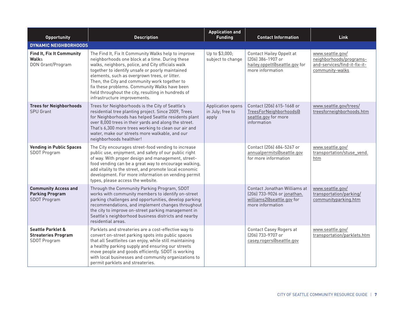| <b>Opportunity</b>                                                           | <b>Description</b>                                                                                                                                                                                                                                                                                                                                                                                                                                       | <b>Application and</b><br><b>Funding</b>       | <b>Contact Information</b>                                                                                   | Link                                                                                           |
|------------------------------------------------------------------------------|----------------------------------------------------------------------------------------------------------------------------------------------------------------------------------------------------------------------------------------------------------------------------------------------------------------------------------------------------------------------------------------------------------------------------------------------------------|------------------------------------------------|--------------------------------------------------------------------------------------------------------------|------------------------------------------------------------------------------------------------|
| <b>DYNAMIC NEIGHBORHOODS</b>                                                 |                                                                                                                                                                                                                                                                                                                                                                                                                                                          |                                                |                                                                                                              |                                                                                                |
| <b>Find It, Fix It Community</b><br>Walks<br>DON Grant/Program               | The Find It, Fix It Community Walks help to improve<br>neighborhoods one block at a time. During these<br>walks, neighbors, police, and City officials walk<br>together to identify unsafe or poorly maintained<br>elements, such as overgrown trees, or litter.<br>Then, the City and community work together to<br>fix these problems. Community Walks have been<br>held throughout the city, resulting in hundreds of<br>infrastructure improvements. | Up to \$3,000;<br>subject to change            | Contact Hailey Oppelt at<br>(206) 386-1907 or<br>hailey.oppelt@seattle.gov for<br>more information           | www.seattle.gov/<br>neighborhoods/programs-<br>and-services/find-it-fix-it-<br>community-walks |
| <b>Trees for Neighborhoods</b><br><b>SPU Grant</b>                           | Trees for Neighborhoods is the City of Seattle's<br>residential tree planting project. Since 2009, Trees<br>for Neighborhoods has helped Seattle residents plant<br>over 8,000 trees in their yards and along the street.<br>That's 6,300 more trees working to clean our air and<br>water, make our streets more walkable, and our<br>neighborhoods healthier!                                                                                          | Application opens<br>in July; free to<br>apply | Contact (206) 615-1668 or<br>TreesForNeighborhoods@<br>seattle.gov for more<br>information                   | www.seattle.gov/trees/<br>treesforneighborhoods.htm                                            |
| <b>Vending in Public Spaces</b><br>SDOT Program                              | The City encourages street-food vending to increase<br>public use, enjoyment, and safety of our public right<br>of way. With proper design and management, street-<br>food vending can be a great way to encourage walking,<br>add vitality to the street, and promote local economic<br>development. For more information on vending permit<br>types, please access the website.                                                                        |                                                | Contact (206) 684-5267 or<br>annualpermits@seattle.gov<br>for more information                               | www.seattle.gov/<br>transportation/stuse vend.<br>htm                                          |
| <b>Community Access and</b><br><b>Parking Program</b><br><b>SDOT Program</b> | Through the Community Parking Program, SDOT<br>works with community members to identify on-street<br>parking challenges and opportunities, develop parking<br>recommendations, and implement changes throughout<br>the city to improve on-street parking management in<br>Seattle's neighborhood business districts and nearby<br>residential areas.                                                                                                     |                                                | Contact Jonathan Williams at<br>(206) 733-9026 or jonathan.<br>williams2@seattle.gov for<br>more information | www.seattle.gov/<br>transportation/parking/<br>communityparking.htm                            |
| <b>Seattle Parklet &amp;</b><br><b>Streateries Program</b><br>SDOT Program   | Parklets and streateries are a cost-effective way to<br>convert on-street parking spots into public spaces<br>that all Seattleites can enjoy, while still maintaining<br>a healthy parking supply and ensuring our streets<br>move people and goods efficiently. SDOT is working<br>with local businesses and community organizations to<br>permit parklets and streateries.                                                                             |                                                | Contact Casey Rogers at<br>(206) 733-9707 or<br>casey.rogers@seattle.gov                                     | www.seattle.gov/<br>transportation/parklets.htm                                                |